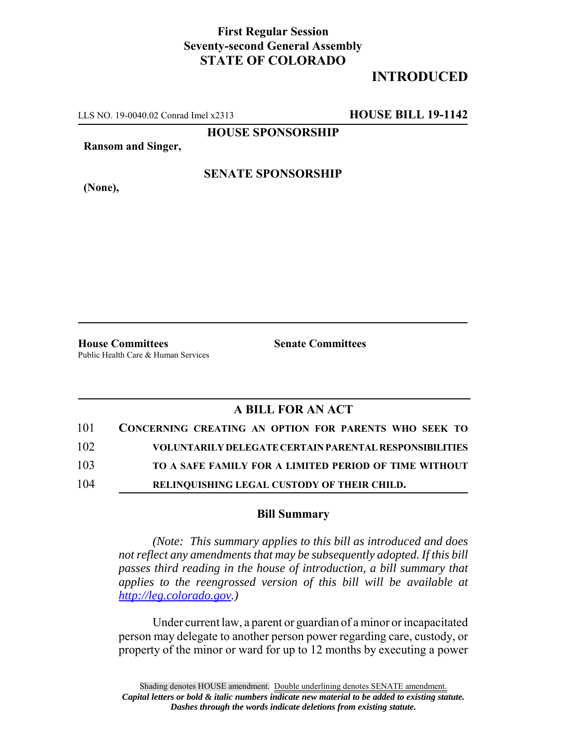## **First Regular Session Seventy-second General Assembly STATE OF COLORADO**

# **INTRODUCED**

LLS NO. 19-0040.02 Conrad Imel x2313 **HOUSE BILL 19-1142**

**HOUSE SPONSORSHIP**

**Ransom and Singer,**

#### **SENATE SPONSORSHIP**

**(None),**

**House Committees Senate Committees** Public Health Care & Human Services

### **A BILL FOR AN ACT**

| 101 | CONCERNING CREATING AN OPTION FOR PARENTS WHO SEEK TO  |
|-----|--------------------------------------------------------|
| 102 | VOLUNTARILY DELEGATE CERTAIN PARENTAL RESPONSIBILITIES |
| 103 | TO A SAFE FAMILY FOR A LIMITED PERIOD OF TIME WITHOUT  |
| 104 | RELINQUISHING LEGAL CUSTODY OF THEIR CHILD.            |

#### **Bill Summary**

*(Note: This summary applies to this bill as introduced and does not reflect any amendments that may be subsequently adopted. If this bill passes third reading in the house of introduction, a bill summary that applies to the reengrossed version of this bill will be available at http://leg.colorado.gov.)*

Under current law, a parent or guardian of a minor or incapacitated person may delegate to another person power regarding care, custody, or property of the minor or ward for up to 12 months by executing a power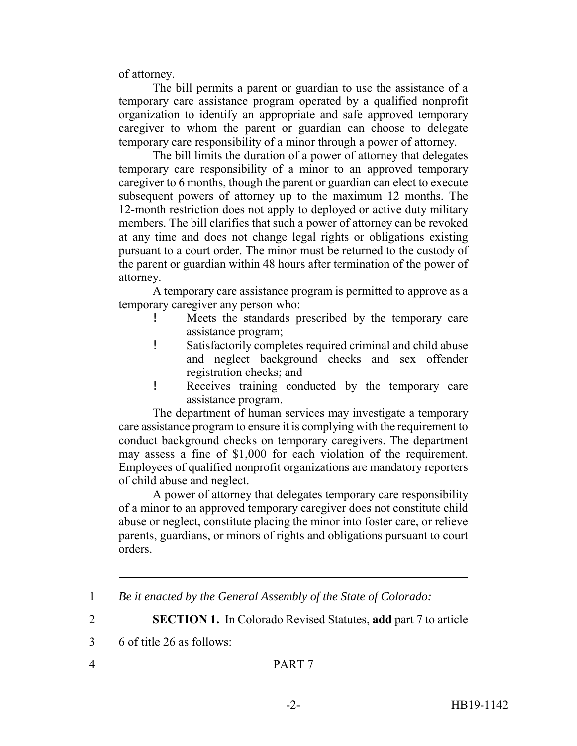of attorney.

The bill permits a parent or guardian to use the assistance of a temporary care assistance program operated by a qualified nonprofit organization to identify an appropriate and safe approved temporary caregiver to whom the parent or guardian can choose to delegate temporary care responsibility of a minor through a power of attorney.

The bill limits the duration of a power of attorney that delegates temporary care responsibility of a minor to an approved temporary caregiver to 6 months, though the parent or guardian can elect to execute subsequent powers of attorney up to the maximum 12 months. The 12-month restriction does not apply to deployed or active duty military members. The bill clarifies that such a power of attorney can be revoked at any time and does not change legal rights or obligations existing pursuant to a court order. The minor must be returned to the custody of the parent or guardian within 48 hours after termination of the power of attorney.

A temporary care assistance program is permitted to approve as a temporary caregiver any person who:

- ! Meets the standards prescribed by the temporary care assistance program;
- ! Satisfactorily completes required criminal and child abuse and neglect background checks and sex offender registration checks; and
- ! Receives training conducted by the temporary care assistance program.

The department of human services may investigate a temporary care assistance program to ensure it is complying with the requirement to conduct background checks on temporary caregivers. The department may assess a fine of \$1,000 for each violation of the requirement. Employees of qualified nonprofit organizations are mandatory reporters of child abuse and neglect.

A power of attorney that delegates temporary care responsibility of a minor to an approved temporary caregiver does not constitute child abuse or neglect, constitute placing the minor into foster care, or relieve parents, guardians, or minors of rights and obligations pursuant to court orders.

2 **SECTION 1.** In Colorado Revised Statutes, **add** part 7 to article

<sup>1</sup> *Be it enacted by the General Assembly of the State of Colorado:*

<sup>3</sup> 6 of title 26 as follows: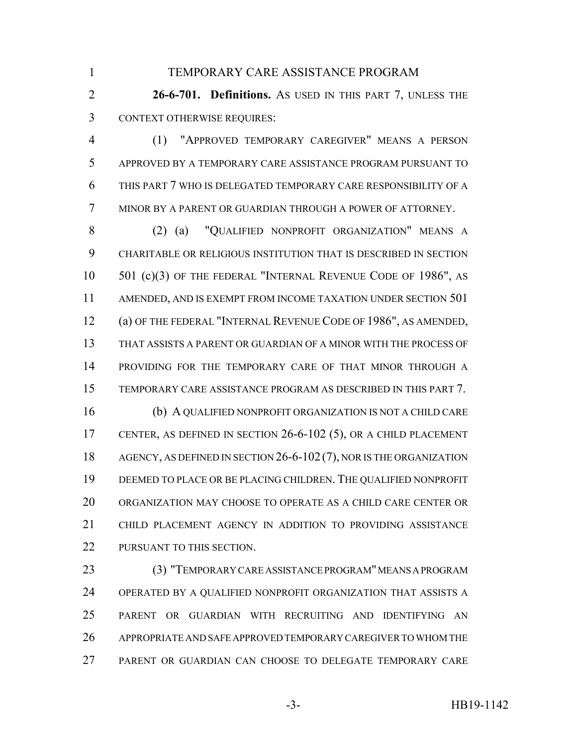TEMPORARY CARE ASSISTANCE PROGRAM

 **26-6-701. Definitions.** AS USED IN THIS PART 7, UNLESS THE CONTEXT OTHERWISE REQUIRES:

 (1) "APPROVED TEMPORARY CAREGIVER" MEANS A PERSON APPROVED BY A TEMPORARY CARE ASSISTANCE PROGRAM PURSUANT TO THIS PART 7 WHO IS DELEGATED TEMPORARY CARE RESPONSIBILITY OF A MINOR BY A PARENT OR GUARDIAN THROUGH A POWER OF ATTORNEY.

 (2) (a) "QUALIFIED NONPROFIT ORGANIZATION" MEANS A CHARITABLE OR RELIGIOUS INSTITUTION THAT IS DESCRIBED IN SECTION 501 (c)(3) OF THE FEDERAL "INTERNAL REVENUE CODE OF 1986", AS AMENDED, AND IS EXEMPT FROM INCOME TAXATION UNDER SECTION 501 (a) OF THE FEDERAL "INTERNAL REVENUE CODE OF 1986", AS AMENDED, THAT ASSISTS A PARENT OR GUARDIAN OF A MINOR WITH THE PROCESS OF PROVIDING FOR THE TEMPORARY CARE OF THAT MINOR THROUGH A TEMPORARY CARE ASSISTANCE PROGRAM AS DESCRIBED IN THIS PART 7. (b) A QUALIFIED NONPROFIT ORGANIZATION IS NOT A CHILD CARE CENTER, AS DEFINED IN SECTION 26-6-102 (5), OR A CHILD PLACEMENT 18 AGENCY, AS DEFINED IN SECTION 26-6-102 (7), NOR IS THE ORGANIZATION DEEMED TO PLACE OR BE PLACING CHILDREN. THE QUALIFIED NONPROFIT ORGANIZATION MAY CHOOSE TO OPERATE AS A CHILD CARE CENTER OR CHILD PLACEMENT AGENCY IN ADDITION TO PROVIDING ASSISTANCE

PURSUANT TO THIS SECTION.

 (3) "TEMPORARY CARE ASSISTANCE PROGRAM" MEANS A PROGRAM OPERATED BY A QUALIFIED NONPROFIT ORGANIZATION THAT ASSISTS A PARENT OR GUARDIAN WITH RECRUITING AND IDENTIFYING AN APPROPRIATE AND SAFE APPROVED TEMPORARY CAREGIVER TO WHOM THE PARENT OR GUARDIAN CAN CHOOSE TO DELEGATE TEMPORARY CARE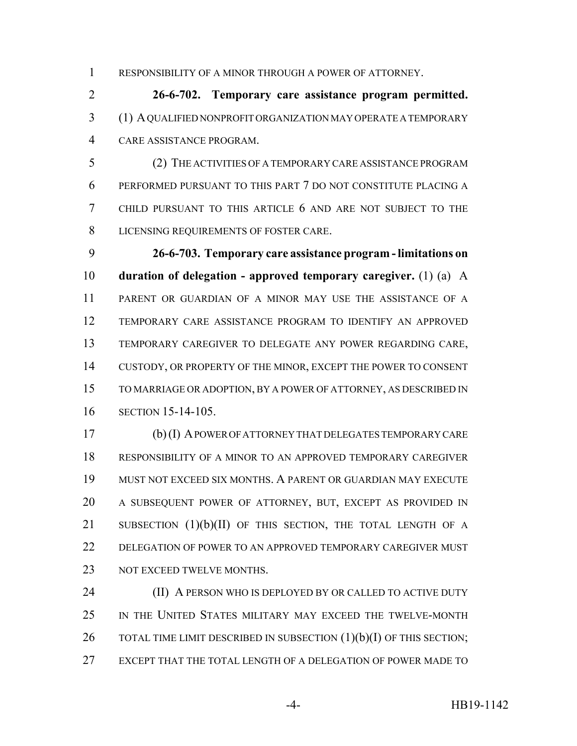RESPONSIBILITY OF A MINOR THROUGH A POWER OF ATTORNEY.

 **26-6-702. Temporary care assistance program permitted.** (1) A QUALIFIED NONPROFIT ORGANIZATION MAY OPERATE A TEMPORARY CARE ASSISTANCE PROGRAM.

 (2) THE ACTIVITIES OF A TEMPORARY CARE ASSISTANCE PROGRAM PERFORMED PURSUANT TO THIS PART 7 DO NOT CONSTITUTE PLACING A CHILD PURSUANT TO THIS ARTICLE 6 AND ARE NOT SUBJECT TO THE LICENSING REQUIREMENTS OF FOSTER CARE.

 **26-6-703. Temporary care assistance program - limitations on duration of delegation - approved temporary caregiver.** (1) (a) A PARENT OR GUARDIAN OF A MINOR MAY USE THE ASSISTANCE OF A TEMPORARY CARE ASSISTANCE PROGRAM TO IDENTIFY AN APPROVED TEMPORARY CAREGIVER TO DELEGATE ANY POWER REGARDING CARE, CUSTODY, OR PROPERTY OF THE MINOR, EXCEPT THE POWER TO CONSENT TO MARRIAGE OR ADOPTION, BY A POWER OF ATTORNEY, AS DESCRIBED IN SECTION 15-14-105.

 (b) (I) A POWER OF ATTORNEY THAT DELEGATES TEMPORARY CARE RESPONSIBILITY OF A MINOR TO AN APPROVED TEMPORARY CAREGIVER MUST NOT EXCEED SIX MONTHS. A PARENT OR GUARDIAN MAY EXECUTE A SUBSEQUENT POWER OF ATTORNEY, BUT, EXCEPT AS PROVIDED IN 21 SUBSECTION (1)(b)(II) OF THIS SECTION, THE TOTAL LENGTH OF A 22 DELEGATION OF POWER TO AN APPROVED TEMPORARY CAREGIVER MUST 23 NOT EXCEED TWELVE MONTHS.

**(II) A PERSON WHO IS DEPLOYED BY OR CALLED TO ACTIVE DUTY**  IN THE UNITED STATES MILITARY MAY EXCEED THE TWELVE-MONTH 26 TOTAL TIME LIMIT DESCRIBED IN SUBSECTION (1)(b)(I) OF THIS SECTION; EXCEPT THAT THE TOTAL LENGTH OF A DELEGATION OF POWER MADE TO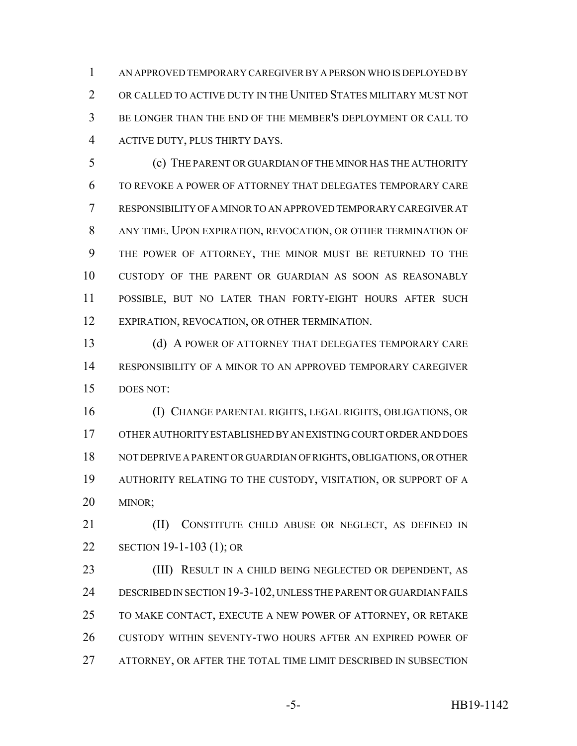AN APPROVED TEMPORARY CAREGIVER BY A PERSON WHO IS DEPLOYED BY OR CALLED TO ACTIVE DUTY IN THE UNITED STATES MILITARY MUST NOT BE LONGER THAN THE END OF THE MEMBER'S DEPLOYMENT OR CALL TO ACTIVE DUTY, PLUS THIRTY DAYS.

 (c) THE PARENT OR GUARDIAN OF THE MINOR HAS THE AUTHORITY TO REVOKE A POWER OF ATTORNEY THAT DELEGATES TEMPORARY CARE RESPONSIBILITY OF A MINOR TO AN APPROVED TEMPORARY CAREGIVER AT ANY TIME. UPON EXPIRATION, REVOCATION, OR OTHER TERMINATION OF THE POWER OF ATTORNEY, THE MINOR MUST BE RETURNED TO THE CUSTODY OF THE PARENT OR GUARDIAN AS SOON AS REASONABLY POSSIBLE, BUT NO LATER THAN FORTY-EIGHT HOURS AFTER SUCH EXPIRATION, REVOCATION, OR OTHER TERMINATION.

13 (d) A POWER OF ATTORNEY THAT DELEGATES TEMPORARY CARE RESPONSIBILITY OF A MINOR TO AN APPROVED TEMPORARY CAREGIVER DOES NOT:

 (I) CHANGE PARENTAL RIGHTS, LEGAL RIGHTS, OBLIGATIONS, OR OTHER AUTHORITY ESTABLISHED BY AN EXISTING COURT ORDER AND DOES NOT DEPRIVE A PARENT OR GUARDIAN OF RIGHTS, OBLIGATIONS, OR OTHER AUTHORITY RELATING TO THE CUSTODY, VISITATION, OR SUPPORT OF A MINOR;

21 (II) CONSTITUTE CHILD ABUSE OR NEGLECT, AS DEFINED IN SECTION 19-1-103 (1); OR

23 (III) RESULT IN A CHILD BEING NEGLECTED OR DEPENDENT, AS DESCRIBED IN SECTION 19-3-102, UNLESS THE PARENT OR GUARDIAN FAILS TO MAKE CONTACT, EXECUTE A NEW POWER OF ATTORNEY, OR RETAKE CUSTODY WITHIN SEVENTY-TWO HOURS AFTER AN EXPIRED POWER OF ATTORNEY, OR AFTER THE TOTAL TIME LIMIT DESCRIBED IN SUBSECTION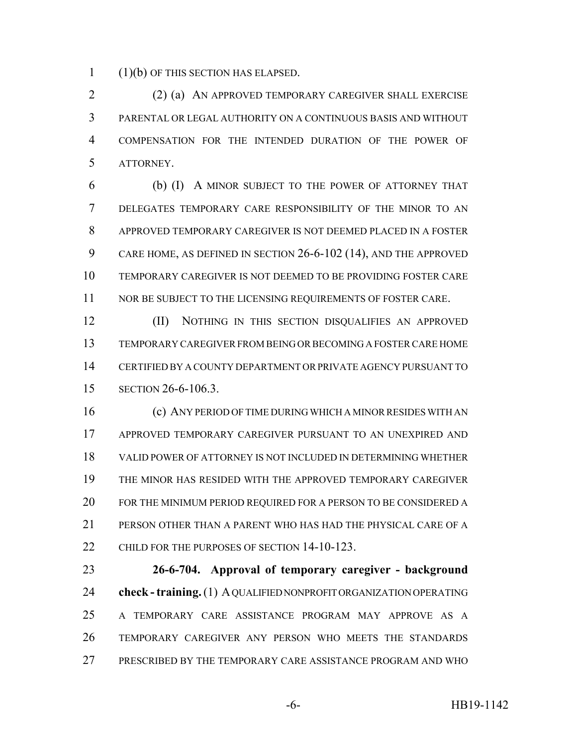(1)(b) OF THIS SECTION HAS ELAPSED.

 (2) (a) AN APPROVED TEMPORARY CAREGIVER SHALL EXERCISE PARENTAL OR LEGAL AUTHORITY ON A CONTINUOUS BASIS AND WITHOUT COMPENSATION FOR THE INTENDED DURATION OF THE POWER OF ATTORNEY.

 (b) (I) A MINOR SUBJECT TO THE POWER OF ATTORNEY THAT DELEGATES TEMPORARY CARE RESPONSIBILITY OF THE MINOR TO AN APPROVED TEMPORARY CAREGIVER IS NOT DEEMED PLACED IN A FOSTER CARE HOME, AS DEFINED IN SECTION 26-6-102 (14), AND THE APPROVED TEMPORARY CAREGIVER IS NOT DEEMED TO BE PROVIDING FOSTER CARE 11 NOR BE SUBJECT TO THE LICENSING REQUIREMENTS OF FOSTER CARE.

 (II) NOTHING IN THIS SECTION DISQUALIFIES AN APPROVED TEMPORARY CAREGIVER FROM BEING OR BECOMING A FOSTER CARE HOME CERTIFIED BY A COUNTY DEPARTMENT OR PRIVATE AGENCY PURSUANT TO SECTION 26-6-106.3.

 (c) ANY PERIOD OF TIME DURING WHICH A MINOR RESIDES WITH AN APPROVED TEMPORARY CAREGIVER PURSUANT TO AN UNEXPIRED AND VALID POWER OF ATTORNEY IS NOT INCLUDED IN DETERMINING WHETHER THE MINOR HAS RESIDED WITH THE APPROVED TEMPORARY CAREGIVER FOR THE MINIMUM PERIOD REQUIRED FOR A PERSON TO BE CONSIDERED A PERSON OTHER THAN A PARENT WHO HAS HAD THE PHYSICAL CARE OF A 22 CHILD FOR THE PURPOSES OF SECTION 14-10-123.

 **26-6-704. Approval of temporary caregiver - background check - training.** (1) A QUALIFIED NONPROFIT ORGANIZATION OPERATING A TEMPORARY CARE ASSISTANCE PROGRAM MAY APPROVE AS A TEMPORARY CAREGIVER ANY PERSON WHO MEETS THE STANDARDS PRESCRIBED BY THE TEMPORARY CARE ASSISTANCE PROGRAM AND WHO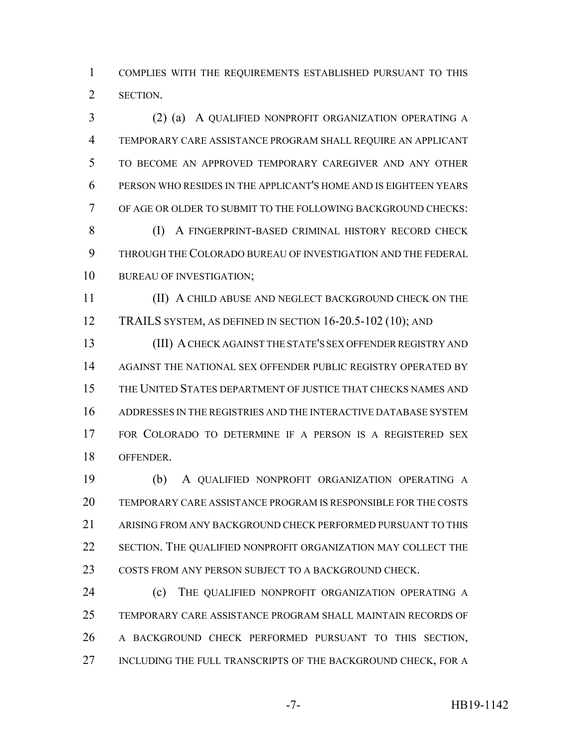COMPLIES WITH THE REQUIREMENTS ESTABLISHED PURSUANT TO THIS SECTION.

 (2) (a) A QUALIFIED NONPROFIT ORGANIZATION OPERATING A TEMPORARY CARE ASSISTANCE PROGRAM SHALL REQUIRE AN APPLICANT TO BECOME AN APPROVED TEMPORARY CAREGIVER AND ANY OTHER PERSON WHO RESIDES IN THE APPLICANT'S HOME AND IS EIGHTEEN YEARS OF AGE OR OLDER TO SUBMIT TO THE FOLLOWING BACKGROUND CHECKS: 8 (I) A FINGERPRINT-BASED CRIMINAL HISTORY RECORD CHECK THROUGH THE COLORADO BUREAU OF INVESTIGATION AND THE FEDERAL BUREAU OF INVESTIGATION;

 (II) A CHILD ABUSE AND NEGLECT BACKGROUND CHECK ON THE TRAILS SYSTEM, AS DEFINED IN SECTION 16-20.5-102 (10); AND

 (III) A CHECK AGAINST THE STATE'S SEX OFFENDER REGISTRY AND AGAINST THE NATIONAL SEX OFFENDER PUBLIC REGISTRY OPERATED BY THE UNITED STATES DEPARTMENT OF JUSTICE THAT CHECKS NAMES AND ADDRESSES IN THE REGISTRIES AND THE INTERACTIVE DATABASE SYSTEM FOR COLORADO TO DETERMINE IF A PERSON IS A REGISTERED SEX OFFENDER.

 (b) A QUALIFIED NONPROFIT ORGANIZATION OPERATING A TEMPORARY CARE ASSISTANCE PROGRAM IS RESPONSIBLE FOR THE COSTS ARISING FROM ANY BACKGROUND CHECK PERFORMED PURSUANT TO THIS SECTION. THE QUALIFIED NONPROFIT ORGANIZATION MAY COLLECT THE 23 COSTS FROM ANY PERSON SUBJECT TO A BACKGROUND CHECK.

**(c)** THE QUALIFIED NONPROFIT ORGANIZATION OPERATING A TEMPORARY CARE ASSISTANCE PROGRAM SHALL MAINTAIN RECORDS OF A BACKGROUND CHECK PERFORMED PURSUANT TO THIS SECTION, 27 INCLUDING THE FULL TRANSCRIPTS OF THE BACKGROUND CHECK, FOR A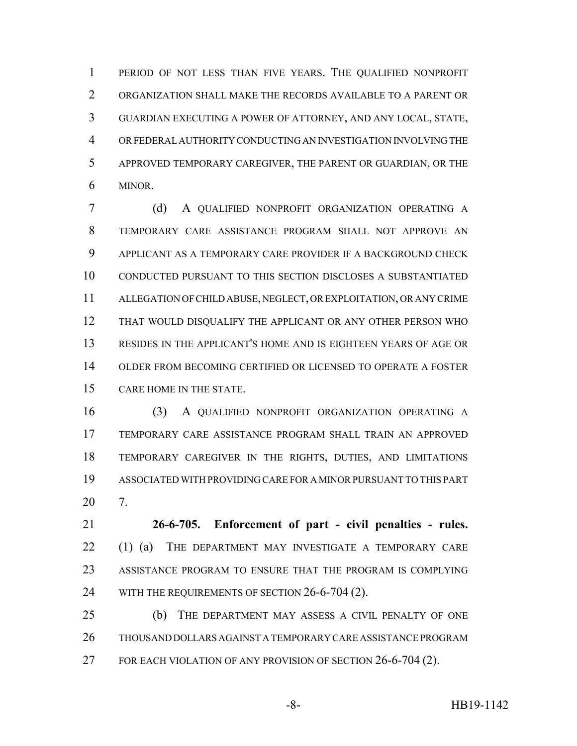PERIOD OF NOT LESS THAN FIVE YEARS. THE QUALIFIED NONPROFIT ORGANIZATION SHALL MAKE THE RECORDS AVAILABLE TO A PARENT OR GUARDIAN EXECUTING A POWER OF ATTORNEY, AND ANY LOCAL, STATE, OR FEDERAL AUTHORITY CONDUCTING AN INVESTIGATION INVOLVING THE APPROVED TEMPORARY CAREGIVER, THE PARENT OR GUARDIAN, OR THE MINOR.

 (d) A QUALIFIED NONPROFIT ORGANIZATION OPERATING A TEMPORARY CARE ASSISTANCE PROGRAM SHALL NOT APPROVE AN APPLICANT AS A TEMPORARY CARE PROVIDER IF A BACKGROUND CHECK CONDUCTED PURSUANT TO THIS SECTION DISCLOSES A SUBSTANTIATED ALLEGATION OF CHILD ABUSE, NEGLECT, OR EXPLOITATION, OR ANY CRIME 12 THAT WOULD DISQUALIFY THE APPLICANT OR ANY OTHER PERSON WHO RESIDES IN THE APPLICANT'S HOME AND IS EIGHTEEN YEARS OF AGE OR OLDER FROM BECOMING CERTIFIED OR LICENSED TO OPERATE A FOSTER CARE HOME IN THE STATE.

 (3) A QUALIFIED NONPROFIT ORGANIZATION OPERATING A TEMPORARY CARE ASSISTANCE PROGRAM SHALL TRAIN AN APPROVED TEMPORARY CAREGIVER IN THE RIGHTS, DUTIES, AND LIMITATIONS ASSOCIATED WITH PROVIDING CARE FOR A MINOR PURSUANT TO THIS PART 7.

 **26-6-705. Enforcement of part - civil penalties - rules.** 22 (1) (a) THE DEPARTMENT MAY INVESTIGATE A TEMPORARY CARE ASSISTANCE PROGRAM TO ENSURE THAT THE PROGRAM IS COMPLYING 24 WITH THE REQUIREMENTS OF SECTION 26-6-704 (2).

 (b) THE DEPARTMENT MAY ASSESS A CIVIL PENALTY OF ONE THOUSAND DOLLARS AGAINST A TEMPORARY CARE ASSISTANCE PROGRAM 27 FOR EACH VIOLATION OF ANY PROVISION OF SECTION 26-6-704 (2).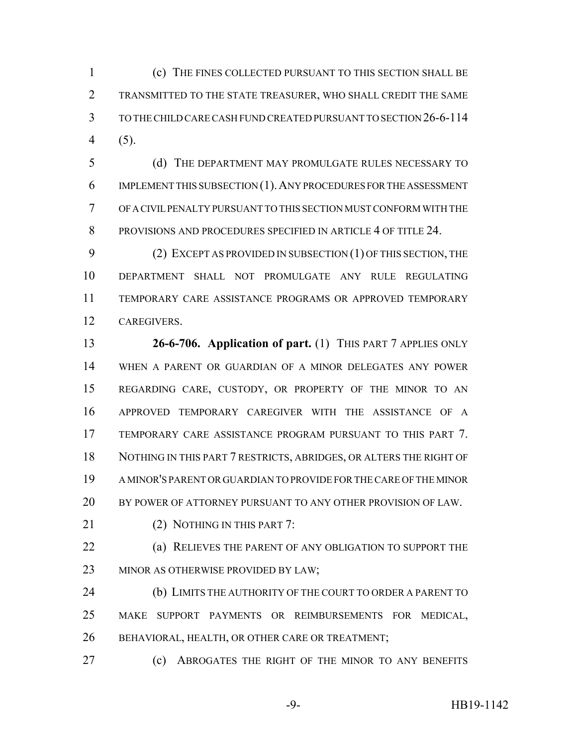(c) THE FINES COLLECTED PURSUANT TO THIS SECTION SHALL BE TRANSMITTED TO THE STATE TREASURER, WHO SHALL CREDIT THE SAME TO THE CHILD CARE CASH FUND CREATED PURSUANT TO SECTION 26-6-114 (5).

 (d) THE DEPARTMENT MAY PROMULGATE RULES NECESSARY TO IMPLEMENT THIS SUBSECTION (1).ANY PROCEDURES FOR THE ASSESSMENT OF A CIVIL PENALTY PURSUANT TO THIS SECTION MUST CONFORM WITH THE PROVISIONS AND PROCEDURES SPECIFIED IN ARTICLE 4 OF TITLE 24.

 (2) EXCEPT AS PROVIDED IN SUBSECTION (1) OF THIS SECTION, THE DEPARTMENT SHALL NOT PROMULGATE ANY RULE REGULATING TEMPORARY CARE ASSISTANCE PROGRAMS OR APPROVED TEMPORARY CAREGIVERS.

 **26-6-706. Application of part.** (1) THIS PART 7 APPLIES ONLY WHEN A PARENT OR GUARDIAN OF A MINOR DELEGATES ANY POWER REGARDING CARE, CUSTODY, OR PROPERTY OF THE MINOR TO AN APPROVED TEMPORARY CAREGIVER WITH THE ASSISTANCE OF A TEMPORARY CARE ASSISTANCE PROGRAM PURSUANT TO THIS PART 7. NOTHING IN THIS PART 7 RESTRICTS, ABRIDGES, OR ALTERS THE RIGHT OF A MINOR'S PARENT OR GUARDIAN TO PROVIDE FOR THE CARE OF THE MINOR BY POWER OF ATTORNEY PURSUANT TO ANY OTHER PROVISION OF LAW.

21 (2) NOTHING IN THIS PART 7:

 (a) RELIEVES THE PARENT OF ANY OBLIGATION TO SUPPORT THE 23 MINOR AS OTHERWISE PROVIDED BY LAW;

24 (b) LIMITS THE AUTHORITY OF THE COURT TO ORDER A PARENT TO MAKE SUPPORT PAYMENTS OR REIMBURSEMENTS FOR MEDICAL, BEHAVIORAL, HEALTH, OR OTHER CARE OR TREATMENT;

**(c) ABROGATES THE RIGHT OF THE MINOR TO ANY BENEFITS** 

-9- HB19-1142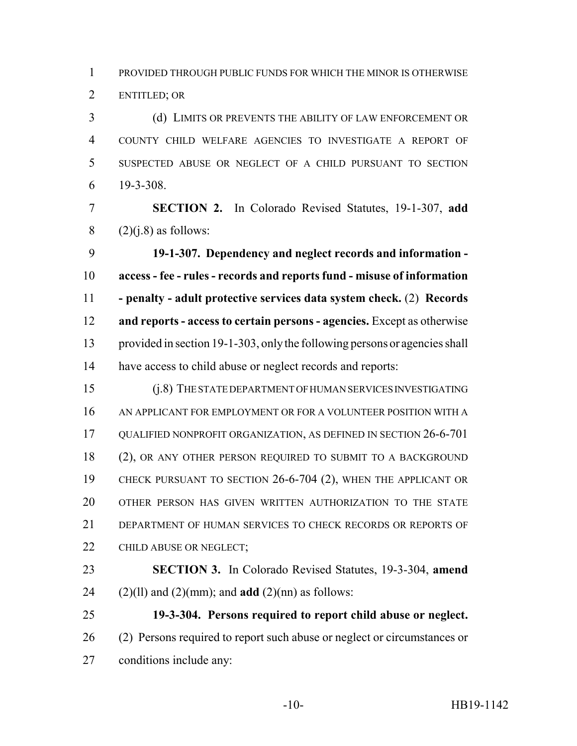PROVIDED THROUGH PUBLIC FUNDS FOR WHICH THE MINOR IS OTHERWISE ENTITLED; OR

 (d) LIMITS OR PREVENTS THE ABILITY OF LAW ENFORCEMENT OR COUNTY CHILD WELFARE AGENCIES TO INVESTIGATE A REPORT OF SUSPECTED ABUSE OR NEGLECT OF A CHILD PURSUANT TO SECTION 19-3-308.

 **SECTION 2.** In Colorado Revised Statutes, 19-1-307, **add** 8  $(2)(i.8)$  as follows:

 **19-1-307. Dependency and neglect records and information - access - fee - rules - records and reports fund - misuse of information - penalty - adult protective services data system check.** (2) **Records and reports - access to certain persons - agencies.** Except as otherwise provided in section 19-1-303, only the following persons or agencies shall have access to child abuse or neglect records and reports:

 (j.8) THE STATE DEPARTMENT OF HUMAN SERVICES INVESTIGATING AN APPLICANT FOR EMPLOYMENT OR FOR A VOLUNTEER POSITION WITH A QUALIFIED NONPROFIT ORGANIZATION, AS DEFINED IN SECTION 26-6-701 18 (2), OR ANY OTHER PERSON REQUIRED TO SUBMIT TO A BACKGROUND CHECK PURSUANT TO SECTION 26-6-704 (2), WHEN THE APPLICANT OR OTHER PERSON HAS GIVEN WRITTEN AUTHORIZATION TO THE STATE DEPARTMENT OF HUMAN SERVICES TO CHECK RECORDS OR REPORTS OF 22 CHILD ABUSE OR NEGLECT;

 **SECTION 3.** In Colorado Revised Statutes, 19-3-304, **amend** 24 (2)(ll) and (2)(mm); and **add** (2)(nn) as follows:

 **19-3-304. Persons required to report child abuse or neglect.** (2) Persons required to report such abuse or neglect or circumstances or conditions include any: